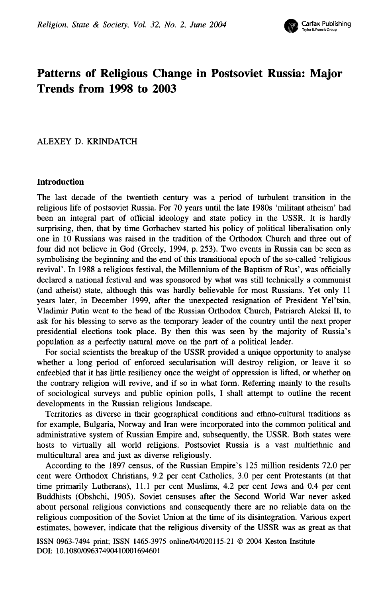

# **Patterns of Religious Change in Postsoviet Russia: Major Trends from 1998 to 2003**

ALEXEY D. KRINDATCH

#### **Introduction**

The last decade of the twentieth century was a period of turbulent transition in the religious life of postsoviet Russia. For 70 years until the late 1980s 'militant atheism' had been an integral part of official ideology and state policy in the USSR. It is hardly surprising, then, that by time Gorbachev started his policy of political liberalisation only one in 10 Russians was raised in the tradition of the Orthodox Church and three out of four did not believe in God (Greely, 1994, p. 253). Two events in Russia can be seen as symbolising the beginning and the end of this transitional epoch of the so-called 'religious revival'. In 1988 a religious festival, the Millennium of the Baptism of Rus', was officially declared a national festival and was sponsored by what was still technically a communist (and atheist) state, although this was hardly believable for most Russians. Yet only 11 years later, in December 1999, after the unexpected resignation of President Yel'tsin, Vladimir Putin went to the head of the Russian Orthodox Church, Patriarch Aleksi 11, to ask for his blessing to serve as the temporary leader of the country until the next proper presidential elections took place. By then this was seen by the majority of Russia's population as a perfectly natural move on the part of a political leader.

For social scientists the breakup of the USSR provided a unique opportunity to analyse whether a long period of enforced secularisation will destroy religion, or leave it so enfeebled that it has little resiliency once the weight of oppression is lifted, or whether on the contrary religion will revive, and if so in what form. Referring mainly to the results of sociological surveys and public opinion polls, I shall attempt to outline the recent developments in the Russian religious landscape.

Territories as diverse in their geographical conditions and ethno-cultural traditions as for example, Bulgaria, Norway and Iran were incorporated into the common political and administrative system of Russian Empire and, subsequently, the USSR. Both states were hosts to virtually all world religions. Postsoviet Russia is a vast multiethnic and multicultural area and just as diverse religiously.

According to the 1897 census, of the Russian Empire's 125 million residents 72.0 per cent were Orthodox Christians, 9.2 per cent Catholics, 3.0 per cent Protestants (at that time primarily Lutherans), 11.1 per cent Muslims, 4.2 per cent Jews and 0.4 per cent Buddhists (Obshchi, 1905). Soviet censuses after the Second World War never asked about personal religious convictions and consequently there are no reliable data on the religious composition of the Soviet Union at the time of its disintegration. Various expert estimates, however, indicate that the religious diversity of the USSR was as great as that

ISSN 0963-7494 print; ISSN 1465-3975 online/04/020115-21 © 2004 Keston Institute DOl: 10.1080109637490410001694601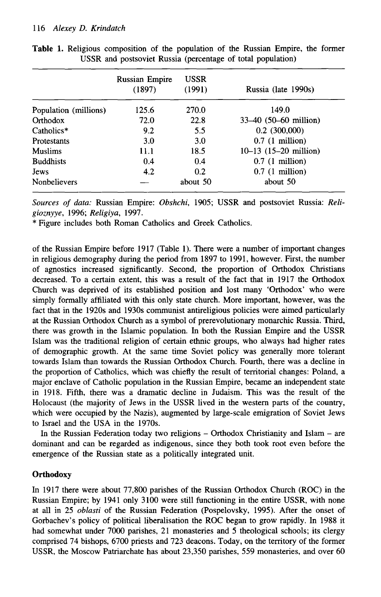|                       | Russian Empire<br>(1897) | <b>USSR</b><br>(1991) | Russia (late 1990s)       |
|-----------------------|--------------------------|-----------------------|---------------------------|
| Population (millions) | 125.6                    | 270.0                 | 149.0                     |
| Orthodox              | 72.0                     | 22.8                  | 33-40 (50-60 million)     |
| Catholics*            | 9.2                      | 5.5                   | 0.2(300,000)              |
| Protestants           | <b>3.0</b>               | 3.0                   | $0.7(1 \text{ million})$  |
| <b>Muslims</b>        | 11.1                     | 18.5                  | $10-13$ $(15-20$ million) |
| <b>Buddhists</b>      | 0.4                      | 0.4                   | $0.7$ (1 million)         |
| Jews                  | 4.2                      | 0.2                   | $0.7(1 \text{ million})$  |
| <b>Nonbelievers</b>   |                          | about 50              | about 50                  |

|  | <b>Table 1.</b> Religious composition of the population of the Russian Empire, the former |  |  |  |  |
|--|-------------------------------------------------------------------------------------------|--|--|--|--|
|  | USSR and postsoviet Russia (percentage of total population)                               |  |  |  |  |

*Sources of data:* Russian Empire: *Obshchi,* 1905; USSR and postsoviet Russia: *Religioznyye,* 1996; *Religiya, 1997.* 

\* Figure includes both Roman Catholics and Greek Catholics.

of the Russian Empire before 1917 (Table 1). There were a number of important changes in religious demography during the period from 1897 to 1991, however. First, the number of agnostics increased significantly. Second, the proportion of Orthodox Christians decreased. To a certain extent, this was a result of the fact that in 1917 the Orthodox Church was deprived of its established position and lost many 'Orthodox' who were simply formally affiliated with this only state church. More important, however, was the fact that in the 1920s and 1930s communist antireligious policies were aimed particularly at the Russian Orthodox Church as a symbol of prerevolutionary monarchic Russia. Third, there was growth in the Islamic population. In both the Russian Empire and the USSR Islam was the traditional religion of certain ethnic groups, who always had higher rates of demographic growth. At the same time Soviet policy was generally more tolerant towards Islam than towards the Russian Orthodox Church. Fourth, there was a decline in the proportion of Catholics, which was chiefly the result of territorial changes: Poland, a major enclave of Catholic population in the Russian Empire, became an independent state in 1918. Fifth, there was a dramatic decline in Judaism. This was the result of the Holocaust (the majority of Jews in the USSR lived in the western parts of the country, which were occupied by the Nazis), augmented by large-scale emigration of Soviet Jews to Israel and the USA in the 1970s.

In the Russian Federation today two religions - Orthodox Christianity and Islam - are dominant and can be regarded as indigenous, since they both took root even before the emergence of the Russian state as a politically integrated unit.

# **Orthodoxy**

In 1917 there were about 77,800 parishes of the Russian Orthodox Church (ROC) in the Russian Empire; by 1941 only 3100 were still functioning in the entire USSR, with none at all in 25 *oblasti* of the Russian Federation (Pospelovsky, 1995). After the onset of Gorbachev's policy of political liberalisation the ROC began to grow rapidly. In 1988 it had somewhat under 7000 parishes, 21 monasteries and 5 theological schools; its clergy comprised 74 bishops, 6700 priests and 723 deacons. Today, on the territory of the former USSR, the Moscow Patriarchate has about 23,350 parishes, 559 monasteries, and over 60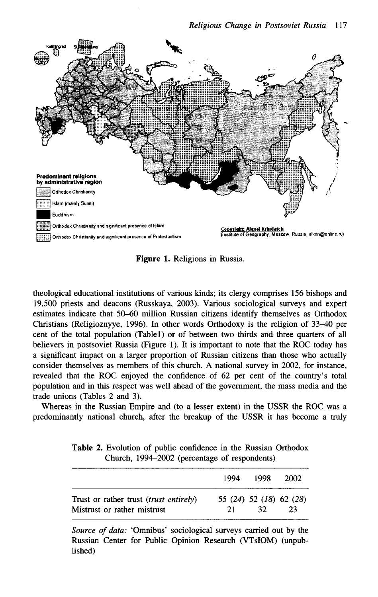

Figure 1. Religions in Russia.

theological educational institutions of various kinds; its clergy comprises 156 bishops and 19,500 priests and deacons (Russkaya, 2003). Various sociological surveys and expert estimates indicate that 50-60 million Russian citizens identify themselves as Orthodox Christians (Religioznyye, 1996). In other words Orthodoxy is the religion of 33-40 per cent of the total population (Tablel) or of between two thirds and three quarters of all believers in postsoviet Russia (Figure 1). It is important to note that the ROC today has a significant impact on a larger proportion of Russian citizens than those who actually consider themselves as members of this church. A national survey in 2002, for instance, revealed that the ROC enjoyed the confidence of 62 per cent of the country's total population and in this respect was well ahead of the government, the mass media and the trade unions (Tables 2 and 3).

Whereas in the Russian Empire and (to a lesser extent) in the USSR the ROC was a predominantly national church, after the breakup of the USSR it has become a truly

|  |  | Table 2. Evolution of public confidence in the Russian Orthodox |  |  |
|--|--|-----------------------------------------------------------------|--|--|
|  |  | Church, 1994–2002 (percentage of respondents)                   |  |  |

|                                                                              | 1994 | 1998                                       | -2002 |
|------------------------------------------------------------------------------|------|--------------------------------------------|-------|
| Trust or rather trust <i>(trust entirely)</i><br>Mistrust or rather mistrust | 21.  | 55 (24) 52 (18) 62 (28)<br>32 <sup>°</sup> | 23    |

*Source of data:* 'Omnibus' sociological surveys carried out by the Russian Center for Public Opinion Research (VTsIOM) (unpublished)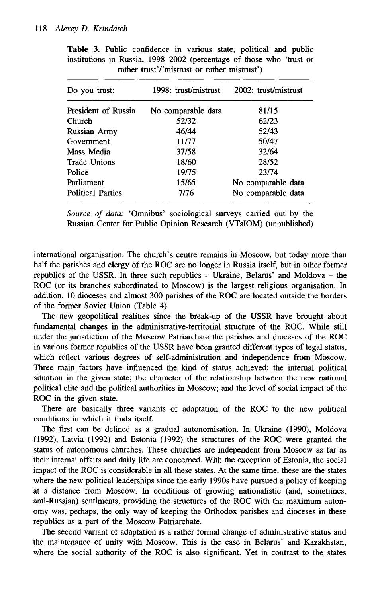| Do you trust:            | 1998: trust/mistrust | 2002: trust/mistrust |
|--------------------------|----------------------|----------------------|
| President of Russia      | No comparable data   | 81/15                |
| Church                   | 52/32                | 62/23                |
| <b>Russian Army</b>      | 46/44                | 52/43                |
| Government               | 11/77                | 50/47                |
| Mass Media               | 37/58                | 32/64                |
| <b>Trade Unions</b>      | 18/60                | 28/52                |
| Police                   | 19/75                | 23/74                |
| Parliament               | 15/65                | No comparable data   |
| <b>Political Parties</b> | 7/76                 | No comparable data   |

**Table** 3. Public confidence in various state, political and public institutions in Russia, 1998-2002 (percentage of those who 'trust or rather trust'/'mistrust or rather mistrust')

*Source of data:* 'Omnibus' sociological surveys carried out by the Russian Center for Public Opinion Research (VTsIOM) (unpublished)

international organisation. The church's centre remains in Moscow, but today more than half the parishes and clergy of the ROC are no longer in Russia itself, but in other former republics of the USSR. In three such republics - Ukraine, Belarus' and Moldova - the ROC (or its branches subordinated to Moscow) is the largest religious organisation. In addition, 10 dioceses and almost 300 parishes of the ROC are located outside the borders of the former Soviet Union (Table 4).

The new geopolitical realities since the break-up of the USSR have brought about fundamental changes in the administrative-territorial structure of the ROC. While still under the jurisdiction of the Moscow Patriarchate the parishes and dioceses of the ROC in various former republics of the USSR have been granted different types of legal status, which reflect various degrees of self-administration and independence from Moscow. Three main factors have influenced the kind of status achieved: the internal political situation in the given state; the character of the relationship between the new national political elite and the political authorities in Moscow; and the level of social impact of the ROC in the given state.

There are basically three variants of adaptation of the ROC to the new political conditions in which it finds itself.

The first can be defined as a gradual autonomisation. In Ukraine (1990), Moldova (1992), Latvia (1992) and Estonia (1992) the structures of the ROC were granted the status of autonomous churches. These churches are independent from Moscow as far as their internal affairs and daily life are concerned. With the exception of Estonia, the social impact of the ROC is considerable in all these states. At the same time, these are the states where the new political leaderships since the early 1990s have pursued a policy of keeping at a distance from Moscow. In conditions of growing nationalistic (and, sometimes, anti-Russian) sentiments, providing the structures of the ROC with the maximum autonomy was, perhaps, the only way of keeping the Orthodox parishes and dioceses in these republics as a part of the Moscow Patriarchate.

The second variant of adaptation is a rather formal change of administrative status and the maintenance of unity with Moscow. This is the case in Belarus' and Kazakhstan, where the social authority of the ROC is also significant. Yet in contrast to the states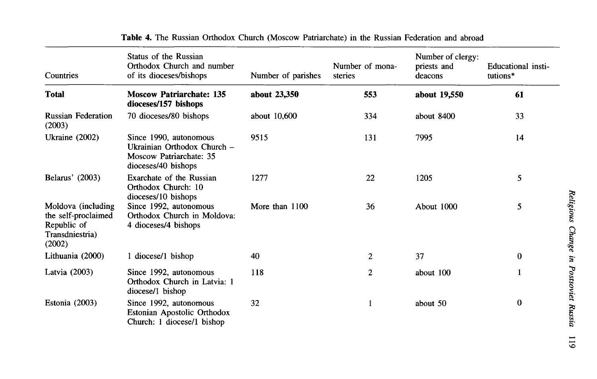| Countries                                                                             | Status of the Russian<br>Orthodox Church and number<br>of its dioceses/bishops                          | Number of parishes | Number of mona-<br>steries | Number of clergy:<br>priests and<br>deacons | Educational insti-<br>tutions* |                            |
|---------------------------------------------------------------------------------------|---------------------------------------------------------------------------------------------------------|--------------------|----------------------------|---------------------------------------------|--------------------------------|----------------------------|
| <b>Total</b>                                                                          | <b>Moscow Patriarchate: 135</b><br>dioceses/157 bishops                                                 | about 23,350       | 553                        | about 19,550                                | 61                             |                            |
| <b>Russian Federation</b><br>(2003)                                                   | 70 dioceses/80 bishops                                                                                  | about 10,600       | 334                        | about 8400                                  | 33                             |                            |
| Ukraine (2002)                                                                        | Since 1990, autonomous<br>Ukrainian Orthodox Church -<br>Moscow Patriarchate: 35<br>dioceses/40 bishops | 9515               | 131                        | 7995                                        | 14                             |                            |
| <b>Belarus'</b> (2003)                                                                | Exarchate of the Russian<br>Orthodox Church: 10<br>dioceses/10 bishops                                  | 1277               | 22                         | 1205                                        | 5                              |                            |
| Moldova (including<br>the self-proclaimed<br>Republic of<br>Transdniestria)<br>(2002) | Since 1992, autonomous<br>Orthodox Church in Moldova:<br>4 dioceses/4 bishops                           | More than 1100     | 36                         | About 1000                                  | 5                              | Religious<br><b>Change</b> |
| Lithuania (2000)                                                                      | 1 diocese/1 bishop                                                                                      | 40                 | 2                          | 37                                          | 0                              | E.                         |
| Latvia (2003)                                                                         | Since 1992, autonomous<br>Orthodox Church in Latvia: 1<br>diocese/1 bishop                              | 118                | 2                          | about 100                                   | 1                              | Postsoviet Russia          |
| Estonia (2003)                                                                        | Since 1992, autonomous<br>Estonian Apostolic Orthodox<br>Church: 1 diocese/1 bishop                     | 32                 | 1                          | about 50                                    | $\bf{0}$                       |                            |

# **Table 4.** The Russian Orthodox Church (Moscow Patriarchate) in the Russian Federation and abroad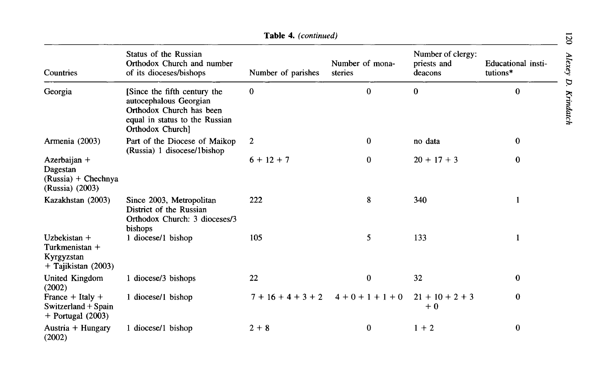| Countries                                                               | Status of the Russian<br>Orthodox Church and number<br>of its dioceses/bishops                                                           | Number of parishes   | Number of mona-<br>steries | Number of clergy:<br>priests and<br>deacons | <b>Educational</b> insti-<br>tutions* | Alexey                      |
|-------------------------------------------------------------------------|------------------------------------------------------------------------------------------------------------------------------------------|----------------------|----------------------------|---------------------------------------------|---------------------------------------|-----------------------------|
| Georgia                                                                 | [Since the fifth century the<br>autocephalous Georgian<br>Orthodox Church has been<br>equal in status to the Russian<br>Orthodox Church] | $\bf{0}$             | $\bf{0}$                   | $\bf{0}$                                    | $\bf{0}$                              | $\overline{D}$<br>Krindatch |
| Armenia (2003)                                                          | Part of the Diocese of Maikop<br>(Russia) 1 disocese/1bishop                                                                             | $\overline{2}$       | $\bf{0}$                   | no data                                     | $\bf{0}$                              |                             |
| Azerbaijan $+$<br>Dagestan<br>$(Russia) + Chechnya$<br>(Russia) (2003)  |                                                                                                                                          | $6 + 12 + 7$         | $\bf{0}$                   | $20 + 17 + 3$                               | $\bf{0}$                              |                             |
| Kazakhstan (2003)                                                       | Since 2003, Metropolitan<br>District of the Russian<br>Orthodox Church: 3 dioceses/3<br>bishops                                          | 222                  | 8                          | 340                                         | 1                                     |                             |
| Uzbekistan $+$<br>Turkmenistan +<br>Kyrgyzstan<br>$+$ Tajikistan (2003) | 1 diocese/1 bishop                                                                                                                       | 105                  | 5                          | 133                                         | 1                                     |                             |
| <b>United Kingdom</b><br>(2002)                                         | 1 diocese/3 bishops                                                                                                                      | 22                   | $\bf{0}$                   | 32                                          | $\bf{0}$                              |                             |
| France $+$ Italy $+$<br>Switzerland $+$ Spain<br>$+$ Portugal (2003)    | 1 diocese/1 bishop                                                                                                                       | $7 + 16 + 4 + 3 + 2$ | $4+0+1+1+0$                | $21 + 10 + 2 + 3$<br>$+0$                   | $\bf{0}$                              |                             |
| Austria + Hungary<br>(2002)                                             | 1 diocese/1 bishop                                                                                                                       | $2 + 8$              | $\bf{0}$                   | $1 + 2$                                     | $\bf{0}$                              |                             |

Table 4. (continued)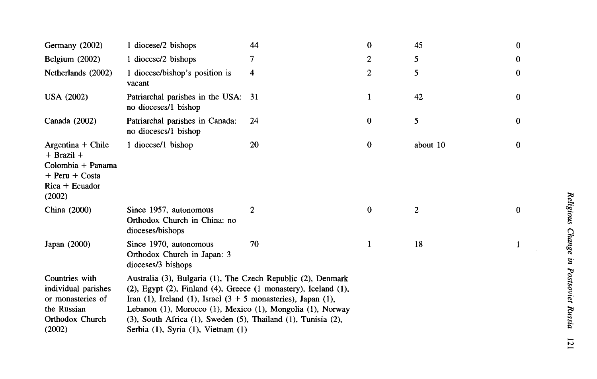| Germany (2002)                                                                                               | 1 diocese/2 bishops                                                                                                                                                                                                                                                                                                                                                                                           | 44           | 0        | 45             | 0                            |
|--------------------------------------------------------------------------------------------------------------|---------------------------------------------------------------------------------------------------------------------------------------------------------------------------------------------------------------------------------------------------------------------------------------------------------------------------------------------------------------------------------------------------------------|--------------|----------|----------------|------------------------------|
| Belgium (2002)                                                                                               | 1 diocese/2 bishops                                                                                                                                                                                                                                                                                                                                                                                           | 7            | 2        | 5              | $\bf{0}$                     |
| Netherlands (2002)                                                                                           | 1 diocese/bishop's position is<br>vacant                                                                                                                                                                                                                                                                                                                                                                      | 4            | 2        | 5              | $\bf{0}$                     |
| <b>USA (2002)</b>                                                                                            | Patriarchal parishes in the USA: 31<br>no dioceses/1 bishop                                                                                                                                                                                                                                                                                                                                                   |              | 1        | 42             | $\bf{0}$                     |
| Canada (2002)                                                                                                | Patriarchal parishes in Canada:<br>no dioceses/1 bishop                                                                                                                                                                                                                                                                                                                                                       | 24           | $\bf{0}$ | 5              | 0                            |
| Argentina + Chile<br>$+$ Brazil $+$<br>Colombia + Panama<br>$+$ Peru $+$ Costa<br>$Rica + Ecuador$<br>(2002) | 1 diocese/1 bishop                                                                                                                                                                                                                                                                                                                                                                                            | 20           | $\bf{0}$ | about 10       | $\bf{0}$                     |
| China (2000)                                                                                                 | Since 1957, autonomous<br>Orthodox Church in China: no<br>dioceses/bishops                                                                                                                                                                                                                                                                                                                                    | $\mathbf{2}$ | $\bf{0}$ | $\overline{2}$ | Religious Change<br>$\bf{0}$ |
| Japan (2000)                                                                                                 | Since 1970, autonomous<br>Orthodox Church in Japan: 3<br>dioceses/3 bishops                                                                                                                                                                                                                                                                                                                                   | 70           | 1        | 18             | 1                            |
| Countries with<br>individual parishes<br>or monasteries of<br>the Russian<br>Orthodox Church<br>(2002)       | Australia (3), Bulgaria (1), The Czech Republic (2), Denmark<br>$(2)$ , Egypt $(2)$ , Finland $(4)$ , Greece $(1 \text{ monastery})$ , Iceland $(1)$ ,<br>Iran (1), Ireland (1), Israel $(3 + 5$ monasteries), Japan (1),<br>Lebanon (1), Morocco (1), Mexico (1), Mongolia (1), Norway<br>$(3)$ , South Africa $(1)$ , Sweden $(5)$ , Thailand $(1)$ , Tunisia $(2)$ ,<br>Serbia (1), Syria (1), Vietnam (1) |              |          |                | in Postsoviet Russia         |
|                                                                                                              |                                                                                                                                                                                                                                                                                                                                                                                                               |              |          |                | 121                          |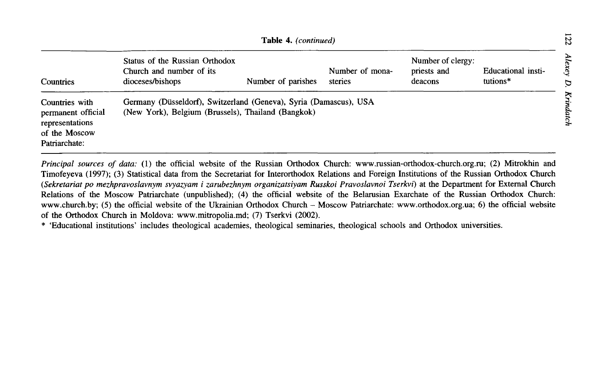|                                                                                           |                                                                                                                         | $1001C$ T. $100111111C$ |                            |                                             |                                |
|-------------------------------------------------------------------------------------------|-------------------------------------------------------------------------------------------------------------------------|-------------------------|----------------------------|---------------------------------------------|--------------------------------|
| <b>Countries</b>                                                                          | Status of the Russian Orthodox<br>Church and number of its<br>dioceses/bishops                                          | Number of parishes      | Number of mona-<br>steries | Number of clergy:<br>priests and<br>deacons | Educational insti-<br>tutions* |
| Countries with<br>permanent official<br>representations<br>of the Moscow<br>Patriarchate: | Germany (Düsseldorf), Switzerland (Geneva), Syria (Damascus), USA<br>(New York), Belgium (Brussels), Thailand (Bangkok) |                         |                            |                                             |                                |

**Table 4.** *(continued)* 

*Principal sources of data:* (1) the official website of the Russian Orthodox Church: www.russian-orthodox-church.org.ru; (2) Mitrokhin and Timofeyeva (1997); (3) Statistical data from the Secretariat for Interorthodox Relations and Foreign Institutions of the Russian Orthodox Church *(Sekretariat po mezhpravoslavnym svyazyam i zarubezhnym organizatsiyam Russkoi Pravoslavnoi Tserkvi)* at the Department for External Church Relations of the Moscow Patriarchate (unpublished); (4) the official website of the Belarusian Exarchate of the Russian Orthodox Church: www.church.by; (5) the official website of the Ukrainian Orthodox Church - Moscow Patriarchate: www.orthodox.org.ua; 6) the official website of the Orthodox Church in Moldova: www.mitropolia.md; (7) Tserkvi (2002).

\* 'Educational institutions' includes theological academies, theological seminaries, theological schools and Orthodox universities.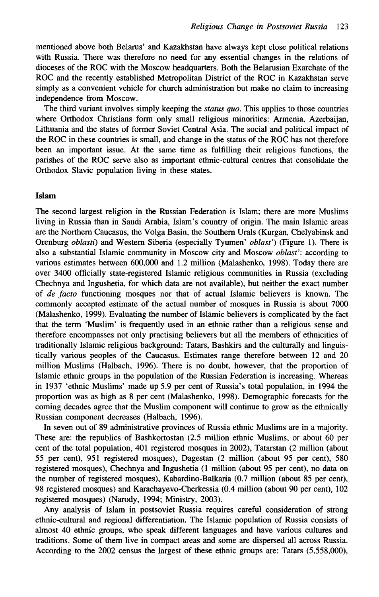mentioned above both Belarus' and Kazakhstan have always kept close political relations with Russia. There was therefore no need for any essential changes in the relations of dioceses of the ROC with the Moscow headquarters. Both the Belarusian Exarchate of the ROC and the recently established Metropolitan District of the ROC in Kazakhstan serve simply as a convenient vehicle for church administration but make no claim to increasing independence from Moscow.

The third variant involves simply keeping the *status quo.* This applies to those countries where Orthodox Christians form only small religious minorities: Armenia, Azerbaijan, Lithuania and the states of former Soviet Central Asia. The social and political impact of the ROC in these countries is small, and change in the status of the ROC has not therefore been an important issue. At the same time as fulfilling their religious functions, the parishes of the ROC serve also as important ethnic-cultural centres that consolidate the Orthodox Slavic population living in these states.

#### **Islam**

The second largest religion in the Russian Federation is Islam; there are more Muslims living in Russia than in Saudi Arabia, Islam's country of origin. The main Islamic areas are the Northern Caucasus, the Volga Basin, the Southern Urals (Kurgan, Chelyabinsk and Orenburg *oblasti)* and Western Siberia (especially Tyumen' *oblast')* (Figure 1). There is also a substantial Islamic community in Moscow city and Moscow *oblast':* according to various estimates between 600,000 and 1.2 million (Malashenko, 1998). Today there are over 3400 officially state-registered Islamic religious communities in Russia (excluding Chechnya and Ingushetia, for which data are not available), but neither the exact number of *de facto* functioning mosques nor that of actual Islamic believers is known. The commonly accepted estimate of the actual number of mosques in Russia is about 7000 (Malashenko, 1999). Evaluating the number of Islamic believers is complicated by the fact that the term 'Muslim' is frequently used in an ethnic rather than a religious sense and therefore encompasses not only practising believers but all the members of ethnicities of traditionally Islamic religious background: Tatars, Bashkirs and the culturally and linguistically various peoples of the Caucasus. Estimates range therefore between 12 and 20 million Muslims (Halbach, 1996). There is no doubt, however, that the proportion of Islamic ethnic groups in the population of the Russian Federation is increasing. Whereas in 1937 'ethnic Muslims' made up 5.9 per cent of Russia's total population, in 1994 the proportion was as high as 8 per cent (Malashenko, 1998). Demographic forecasts for the coming decades agree that the Muslim component will continue to grow as the ethnically Russian component decreases (Halbach, 1996).

In seven out of 89 administrative provinces of Russia ethnic Muslims are in a majority. These are: the republics of Bashkortostan (2.5 million ethnic Muslims, or about 60 per cent of the total population, 401 registered mosques in 2002), Tatarstan (2 million (about 55 per cent), 951 registered mosques), Dagestan (2 million (about 95 per cent), 580 registered mosques), Chechnya and Ingushetia (1 million (about 95 per cent), no data on the number of registered mosques), Kabardino-Balkaria (0.7 million (about 85 per cent), 98 registered mosques) and Karachayevo-Cherkessia (0.4 million (about 90 per cent), 102 registered mosques) (Narody, 1994; Ministry, 2003).

Any analysis of Islam in postsoviet Russia requires careful consideration of strong ethnic-cultural and regional differentiation. The Islamic population of Russia consists of almost 40 ethnic groups, who speak different languages and have various cultures and traditions. Some of them live in compact areas and some are dispersed all across Russia. According to the 2002 census the largest of these ethnic groups are: Tatars (5,558,000),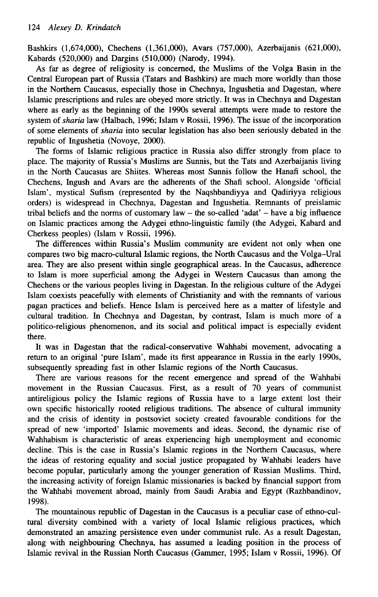Bashkirs (1,674,000), Chechens (1,361,000), Avars (757,000), Azerbaijanis (621,000), Kabards (520,000) and Dargins (510,000) (Narody, 1994).

As far as degree of religiosity is concerned, the Muslims of the Volga Basin in the Central European part of Russia (Tatars and Bashkirs) are much more worldly than those in the Northern Caucasus, especially those in Chechnya, Ingushetia and Dagestan, where Islamic prescriptions and rules are obeyed more strictly. It was in Chechnya and Dagestan where as early as the beginning of the 1990s several attempts were made to restore the system of *sharia* law (Halbach, 1996; Islam v Rossii, 1996). The issue of the incorporation of some elements of *sharia* into secular legislation has also been seriously debated in the republic of Ingushetia (Novoye, 2000).

The forms of Islamic religious practice in Russia also differ strongly from place to place. The majority of Russia's Muslims are Sunnis, but the Tats and Azerbaijanis living in the North Caucasus are Shiites. Whereas most Sunnis follow the Hanafi school, the Chechens, Ingush and Avars are the adherents of the Shafi school. Alongside 'official Islam', mystical Sufism (represented by the Naqshbandiyya and Qadiriyya religious orders) is widespread in Chechnya, Dagestan and Ingushetia. Remnants of preislamic tribal beliefs and the norms of customary law - the so-called 'adat' - have a big influence on Islamic practices among the Adygei ethno-linguistic family (the Adygei, Kabard and Cherkess peoples) (Islam v Rossii, 1996).

The differences within Russia's Muslim community are evident not only when one compares two big macro-cultural Islamic regions, the North Caucasus and the Volga-Ural area. They are also present within single geographical areas. In the Caucasus, adherence to Islam is more superficial among the Adygei in Western Caucasus than among the Chechens or the various peoples living in Dagestan. In the religious culture of the Adygei Islam coexists peacefully with elements of Christianity and with the remnants of various pagan practices and beliefs. Hence Islam is perceived here as a matter of lifestyle and cultural tradition. In Chechnya and Dagestan, by contrast, Islam is much more of a politico-religious phenomenon, and its social and political impact is especially evident there.

It was in Dagestan that the radical-conservative Wahhabi movement, advocating a return to an original 'pure Islam', made its first appearance in Russia in the early 1990s, subsequently spreading fast in other Islamic regions of the North Caucasus.

There are various reasons for the recent emergence and spread of the Wahhabi movement in the Russian Caucasus. First, as a result of 70 years of communist antireligious policy the Islamic regions of Russia have to a large extent lost their own specific historically rooted religious traditions. The absence of cultural immunity and the crisis of identity in postsoviet society created favourable conditions for the spread of new 'imported' Islamic movements and ideas. Second, the dynamic rise of Wahhabism is characteristic of areas experiencing high unemployment and economic decline. This is the case in Russia's Islamic regions in the Northern Caucasus, where the ideas of restoring equality and social justice propagated by Wahhabi leaders have become popular, particularly among the younger generation of Russian Muslims. Third, the increasing activity of foreign Islamic missionaries is backed by financial support from the Wahhabi movement abroad, mainly from Saudi Arabia and Egypt (Razhbandinov, 1998).

The mountainous republic of Dagestan in the Caucasus is a peculiar case of ethno-cultural diversity combined with a variety of local Islamic religious practices, which demonstrated an amazing persistence even under communist rule. As a result Dagestan, along with neighbouring Chechnya, has assumed a leading position in the process of Islamic revival in the Russian North Caucasus (Garnmer, 1995; Islam v Rossii, 1996). Of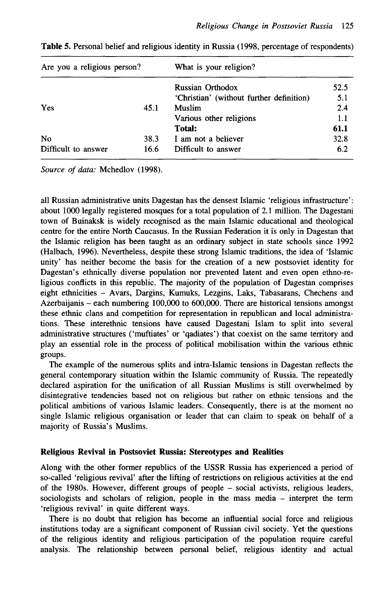| Are you a religious person? |      | What is your religion?                   |      |
|-----------------------------|------|------------------------------------------|------|
|                             |      | Russian Orthodox                         | 52.5 |
|                             |      | 'Christian' (without further definition) | 5.1  |
| <b>Yes</b>                  | 45.1 | Muslim                                   | 2.4  |
|                             |      | Various other religions                  | 1.1  |
|                             |      | Total:                                   | 61.1 |
| N <sub>o</sub>              | 38.3 | I am not a believer                      | 32.8 |
| Difficult to answer         | 16.6 | Difficult to answer                      | 6.2  |

Table 5. Personal belief and religious identity in Russia (1998, percentage of respondents)

*Source of data:* Mchedlov (1998).

all Russian administrative units Dagestan has the densest Islamic 'religious infrastructure': about 1000 legally registered mosques for a total population of 2.1 million. The Dagestani town of Buinaksk is widely recognised as the main Islamic educational and theological centre for the entire North Caucasus. In the Russian Federation it is only in Dagestan that the Islamic religion has been taught as an ordinary subject in state schools since 1992 (Halbach, 1996). Nevertheless, despite these strong Islamic traditions, the idea of 'Islamic unity' has neither become the basis for the creation of a new postsoviet identity for Dagestan's ethnically diverse population nor prevented latent and even open ethno-religious conflicts in this republic. The majority of the population of Dagestan comprises eight ethnicities - Avars, Dargins, Kumuks, Lezgins, Laks, Tabasarans, Chechens and Azerbaijanis - each numbering 100,000 to 600,000. There are historical tensions amongst these ethnic clans and competition for representation in republican and local administrations. These interethnic tensions have caused Dagestani Islam to split into several administrative structures ('muftiates' or 'qadiates') that coexist on the same territory and play an essential role in the process of political mobilisation within the various ethnic groups.

The example of the numerous splits and intra-Islamic tensions in Dagestan reflects the general contemporary situation within the Islamic community of Russia. The repeatedly declared aspiration for the unification of all Russian Muslims is still overwhelmed by disintegrative tendencies based not on religious but rather on ethnic tensions and the political ambitions of various Islamic leaders. Consequently, there is at the moment no single Islamic religious organisation or leader that can claim to speak on behalf of a majority of Russia's Muslims.

#### Religious Revival in Postsoviet Russia: Stereotypes and Realities

Along with the other former republics of the USSR Russia has experienced a period of so-called 'religious revival' after the lifting of restrictions on religious activities at the end of the 1980s. However, different groups of people - social activists, religious leaders, sociologists and scholars of religion, people in the mass media – interpret the term 'religious revival' in quite different ways.

There is no doubt that religion has become an influential social force and religious institutions today are a significant component of Russian civil society. Yet the questions of the religious identity and religious participation of the population require careful analysis. The relationship between personal belief, religious identity and actual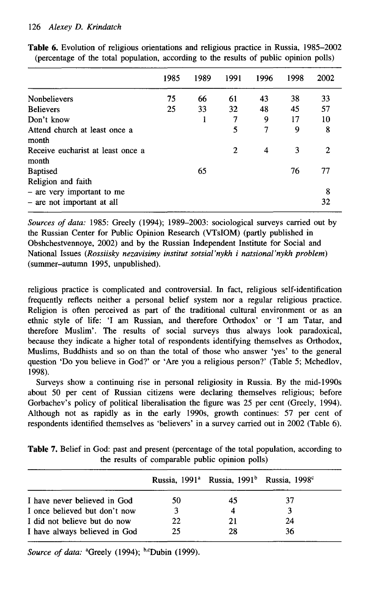## *126 Alexey D. Krindatch*

| 1985 | 1989 | 1991 | 1996 | 1998 | 2002 |
|------|------|------|------|------|------|
| 75   | 66   | 61   | 43   | 38   | 33   |
| 25   | 33   | 32   | 48   | 45   | 57   |
|      |      | 7    | 9    | 17   | 10   |
|      |      | 5    | 7    | 9    | 8    |
|      |      | 2    | 4    | 3    | 2    |
|      | 65   |      |      | 76   | 77   |
|      |      |      |      |      |      |
|      |      |      |      |      | 8    |
|      |      |      |      |      | 32   |
|      |      |      |      |      |      |

**Table** 6. Evolution of religious orientations and religious practice in Russia, 1985-2002 (percentage of the total population, according to the results of public opinion polls)

*Sources of data:* 1985: Greely (1994); 1989-2003: sociological surveys carried out by the Russian Center for Public Opinion Research (VTsIOM) (partly published in Obshchestvennoye, 2002) and by the Russian Independent Institute for Social and National Issues *(Rossiisky nezavisimy institut sotsial'nykh i natsional'nykh problem)*  (summer-autumn 1995, unpublished).

religious practice is complicated and controversial. In fact, religious self-identification frequently reflects neither a personal belief system nor a regular religious practice. Religion is often perceived as part of the traditional cultural environment or as an ethnic style of life: 'I am Russian, and therefore Orthodox' or 'I am Tatar, and therefore Muslim'. The results of social surveys thus always look paradoxical, because they indicate a higher total of respondents identifying themselves as Orthodox, Muslims, Buddhists and so on than the total of those who answer 'yes' to the general question 'Do you believe in God?' or 'Are you a religious person?' (Table 5; Mchedlov, 1998).

Surveys show a continuing rise in personal religiosity in Russia. By the mid-1990s about 50 per cent of Russian citizens were declaring themselves religious; before Gorbachev's policy of political liberalisation the figure was 25 per cent (Greely, 1994). Although not as rapidly as in the early 1990s, growth continues: 57 per cent of respondents identified themselves as 'believers' in a survey carried out in 2002 (Table 6).

|                               |    | Russia, 1991 <sup>ª</sup> Russia, 1991 <sup>b</sup> Russia, 1998 <sup>c</sup> |    |
|-------------------------------|----|-------------------------------------------------------------------------------|----|
| I have never believed in God  | 50 | 45                                                                            | 37 |
| I once believed but don't now |    | 4                                                                             |    |
| I did not believe but do now  | 22 | 21                                                                            | 24 |
| I have always believed in God | 25 | 28                                                                            | 36 |

**Table** 7. Belief in God: past and present (percentage of the total population, according to the results of comparable public opinion polls)

*Source of data:* <sup>a</sup>Greely (1994); <sup>b,c</sup>Dubin (1999).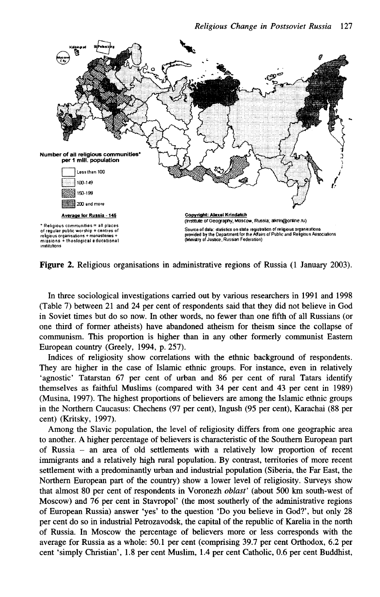

Figure 2. Religious organisations in administrative regions of Russia (1 January 2003).

In three sociological investigations carried out by various researchers in 1991 and 1998 (Table 7) between 21 and 24 per cent of respondents said that they did not believe in God in Soviet times but do so now. In other words, no fewer than one fifth of all Russians (or one third of former atheists) have abandoned atheism for theism since the collapse of communism. This proportion is higher than in any other formerly communist Eastern European country (Greely, 1994, p. 257).

Indices of religiosity show correlations with the ethnic background of respondents. They are higher in the case of Islamic ethnic groups. For instance, even in relatively 'agnostic' Tatarstan 67 per cent of urban and 86 per cent of rural Tatars identify themselves as faithful Muslims (compared with 34 per cent and 43 per cent in 1989) (Musina, 1997). The highest proportions of believers are among the Islamic ethnic groups in the Northern Caucasus: Chechens (97 per cent), Ingush (95 per cent), Karachai (88 per cent) (Kritsky, 1997).

Among the Slavic population, the level of religiosity differs from one geographic area to another. A higher percentage of believers is characteristic of the Southern European part of Russia - an area of old settlements with a relatively low proportion of recent immigrants and a relatively high rural population. By contrast, territories of more recent settlement with a predominantly urban and industrial population (Siberia, the Far East, the Northern European part of the country) show a lower level of religiosity. Surveys show that almost 80 per cent of respondents in Voronezh *oblast'* (about 500 km south-west of Moscow) and 76 per cent in Stavropol' (the most southerly of the administrative regions of European Russia) answer 'yes' to the question 'Do you believe in God?', but only 28 per cent do so in industrial Petrozavodsk, the capital of the republic of Karelia in the north of Russia. In Moscow the percentage of believers more or less corresponds with the average for Russia as a whole: 50.1 per cent (comprising 39.7 per cent Orthodox, 6.2 per cent 'simply Christian', 1.8 per cent Muslim, 1.4 per cent Catholic, 0.6 per cent Buddhist,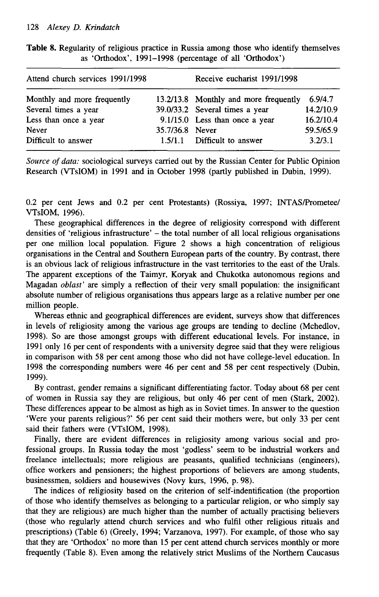**Table** 8. Regularity of religious practice in Russia among those who identify themselves as 'Orthodox', 1991-1998 (percentage of all 'Orthodox')

| Attend church services 1991/1998 |                 | Receive eucharist 1991/1998           |           |  |
|----------------------------------|-----------------|---------------------------------------|-----------|--|
| Monthly and more frequently      |                 | 13.2/13.8 Monthly and more frequently | 6.9/4.7   |  |
| Several times a year             |                 | 39.0/33.2 Several times a year        | 14.2/10.9 |  |
| Less than once a year            |                 | 9.1/15.0 Less than once a year        | 16.2/10.4 |  |
| Never                            | 35.7/36.8 Never |                                       | 59.5/65.9 |  |
| Difficult to answer              |                 | 1.5/1.1 Difficult to answer           | 3.2/3.1   |  |

*Source of data:* sociological surveys carried out by the Russian Center for Public Opinion Research (VTsIOM) in 1991 and in October 1998 (partly published in Dubin, 1999).

0.2 per cent Jews and 0.2 per cent Protestants) (Rossiya, 1997; INTAS/Prometee/ VTsIOM, 1996).

These geographical differences in the degree of religiosity correspond with different densities of 'religious infrastructure' – the total number of all local religious organisations per one million local population. Figure 2 shows a high concentration of religious organisations in the Central and Southern European parts of the country. By contrast, there is an obvious lack of religious infrastructure in the vast territories to the east of the Urals. The apparent exceptions of the Taimyr, Koryak and Chukotka autonomous regions and Magadan *oblast'* are simply a reflection of their very small population: the insignificant absolute number of religious organisations thus appears large as a relative number per one million people.

Whereas ethnic and geographical differences are evident, surveys show that differences in levels of religiosity among the various age groups are tending to decline (Mchedlov, 1998). So are those amongst groups with different educational levels. For instance, in 1991 only 16 per cent of respondents with a university degree said that they were religious in comparison with 58 per cent among those who did not have college-level education. In 1998 the corresponding numbers were 46 per cent and 58 per cent respectively (Dubin, 1999).

By contrast, gender remains a significant differentiating factor. Today about 68 per cent of women in Russia say they are religious, but only 46 per cent of men (Stark, 2002). These differences appear to be almost as high as in Soviet times. In answer to the question 'Were your parents religious?' 56 per cent said their mothers were, but only 33 per cent said their fathers were (VTsIOM, 1998).

Finally, there are evident differences in religiosity among various social and professional groups. In Russia today the most 'godless' seem to be industrial workers and freelance intellectuals; more religious are peasants, qualified technicians (engineers), office workers and pensioners; the highest proportions of believers are among students, businessmen, soldiers and housewives (Novy kurs, 1996, p.98).

The indices of religiosity based on the criterion of self-indentification (the proportion of those who identify themselves as belonging to a particular religion, or who simply say that they are religious) are much higher than the number of actually practising believers (those who regularly attend church services and who fulfil other religious rituals and prescriptions) (Table 6) (Greely, 1994; Varzanova, 1997). For example, of those who say that they are 'Orthodox' no more than 15 per cent attend church services monthly or more frequently (Table 8). Even among the relatively strict Muslims of the Northern Caucasus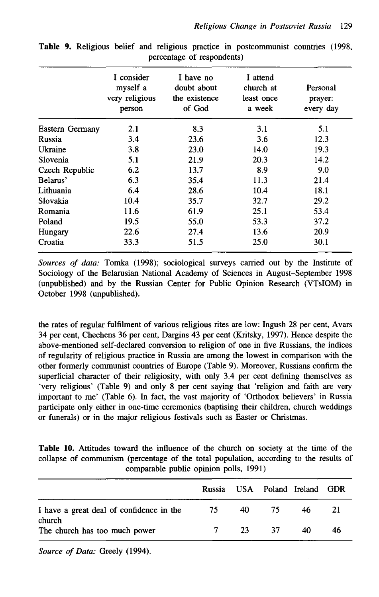|                 | I consider<br>myself a<br>very religious<br>person | I have no<br>doubt about<br>the existence<br>of God | I attend<br>church at<br>least once<br>a week | Personal<br>prayer:<br>every day |
|-----------------|----------------------------------------------------|-----------------------------------------------------|-----------------------------------------------|----------------------------------|
| Eastern Germany | 2.1                                                | 8.3                                                 | 3.1                                           | 5.1                              |
| Russia          | 3.4                                                | 23.6                                                | 3.6                                           | 12.3                             |
| Ukraine         | 3.8                                                | 23.0                                                | 14.0                                          | 19.3                             |
| Slovenia        | 5.1                                                | 21.9                                                | 20.3                                          | 14.2                             |
| Czech Republic  | 6.2                                                | 13.7                                                | 8.9                                           | 9.0                              |
| Belarus'        | 6.3                                                | 35.4                                                | 11.3                                          | 21.4                             |
| Lithuania       | 6.4                                                | 28.6                                                | 10.4                                          | 18.1                             |
| Slovakia        | 10.4                                               | 35.7                                                | 32.7                                          | 29.2                             |
| Romania         | 11.6                                               | 61.9                                                | 25.1                                          | 53.4                             |
| Poland          | 19.5                                               | 55.0                                                | 53.3                                          | 37.2                             |
| Hungary         | 22.6                                               | 27.4                                                | 13.6                                          | 20.9                             |
| Croatia         | 33.3                                               | 51.5                                                | 25.0                                          | 30.1                             |

**Table** 9. Religious belief and religious practice in postcommunist countries (1998, percentage of respondents)

*Sources of data:* Tomka (1998); sociological surveys carried out by the Institute of Sociology of the Belarusian National Academy of Sciences in August-September 1998 (unpublished) and by the Russian Center for Public Opinion Research (VTsIOM) in October 1998 (unpublished).

the rates of regular fulfilment of various religious rites are low: Ingush 28 per cent, A vars 34 per cent, Chechens 36 per cent, Dargins 43 per cent (Kritsky, 1997). Hence despite the above-mentioned self-declared conversion to religion of one in five Russians, the indices of regularity of religious practice in Russia are among the lowest in comparison with the other formerly communist countries of Europe (Table 9). Moreover, Russians confirm the superficial character of their religiosity, with only 3.4 per cent defining themselves as 'very religious' (Table 9) and only 8 per cent saying that 'religion and faith are very important to me' (Table 6). In fact, the vast majority of 'Orthodox believers' in Russia participate only either in one-time ceremonies (baptising their children, church weddings or funerals) or in the major religious festivals such as Easter or Christmas.

**Table 10.** Attitudes toward the influence of the church on society at the time of the collapse of communism (percentage of the total population, according to the results of comparable public opinion polls, 1991)

|                                                    |     |     | Russia USA Poland Ireland GDR |    |    |
|----------------------------------------------------|-----|-----|-------------------------------|----|----|
| I have a great deal of confidence in the<br>church | -75 | 40  | 75.                           | 46 | 21 |
| The church has too much power                      |     | 23. | 37                            | 40 | 46 |

*Source of Data:* Greely (1994).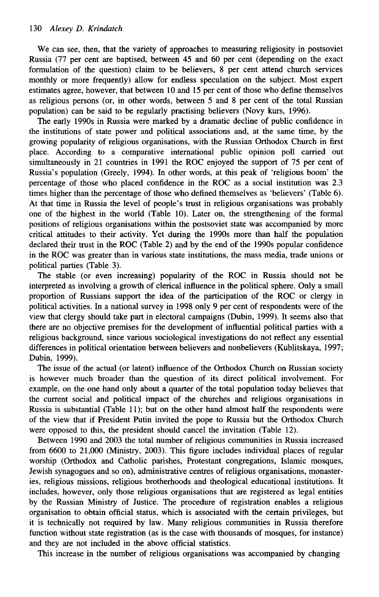We can see, then, that the variety of approaches to measuring religiosity in postsoviet Russia (77 per cent are baptised, between 45 and 60 per cent (depending on the exact formulation of the question) claim to be believers, 8 per cent attend church services monthly or more frequently) allow for endless speculation on the subject. Most expert estimates agree, however, that between 10 and 15 per cent of those who define themselves as religious persons (or, in other words, between 5 and 8 per cent of the total Russian population) can be said to be regularly practising believers (Novy kurs, 1996).

The early 1990s in Russia were marked by a dramatic decline of public confidence in the institutions of state power and political associations and, at the same time, by the growing popularity of religious organisations, with the Russian Orthodox Church in first place. According to a comparative international public opinion poll carried out simultaneously in 21 countries in 1991 the ROC enjoyed the support of 75 per cent of Russia's population (Greely, 1994). In other words, at this peak of 'religious boom' the percentage of those who placed confidence in the ROC as a social institution was 2.3 times higher than the percentage of those who defined themselves as 'believers' (Table 6). At that time in Russia the level of people's trust in religious organisations was probably one of the highest in the world (Table 10). Later on, the strengthening of the formal positions of religious organisations within the postsoviet state was accompanied by more critical attitudes to their activity. Yet during the 1990s more than half the population declared their trust in the ROC (Table 2) and by the end of the 1990s popular confidence in the ROC was greater than in various state institutions, the mass media, trade unions or political parties (Table 3).

The stable (or even increasing) popularity of the ROC in Russia should not be interpreted as involving a growth of clerical influence in the political sphere. Only a small proportion of Russians support the idea of the participation of the ROC or clergy in political activities. In a national survey in 1998 only 9 per cent of respondents were of the view that clergy should take part in electoral campaigns (Dubin, 1999). It seems also that there are no objective premises for the development of influential political parties with a religious background, since various sociological investigations do not reflect any essential differences in political orientation between believers and nonbelievers (Kublitskaya, 1997; Dubin, 1999).

The issue of the actual (or latent) influence of the Orthodox Church on Russian society is however much broader than the question of its direct political involvement. For example, on the one hand only about a quarter of the total population today believes that the current social and political impact of the churches and religious organisations in Russia is substantial (Table 11); but on the other hand almost half the respondents were of the view that if President Putin invited the pope to Russia but the Orthodox Church were opposed to this, the president should cancel the invitation (Table 12).

Between 1990 and 2003 the total number of religious communities in Russia increased from 6600 to 21,000 (Ministry, 2003). This figure includes individual places of regular worship (Orthodox and Catholic parishes, Protestant congregations, Islamic mosques, Jewish synagogues and so on), administrative centres of religious organisations, monasteries, religious missions, religious brotherhoods and theological educational institutions. It includes, however, only those religious organisations that are registered as legal entities by the Russian Ministry of Justice. The procedure of registration enables a religious organisation to obtain official status, which is associated with the certain privileges, but it is technically not required by law. Many religious communities in Russia therefore function without state registration (as is the case with thousands of mosques, for instance) and they are not included in the above official statistics.

This increase in the number of religious organisations was accompanied by changing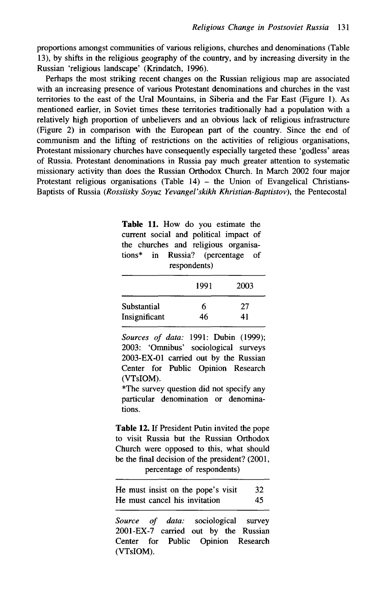proportions amongst communities of various religions, churches and denominations (Table 13), by shifts in the religious geography of the country, and by increasing diversity in the Russian 'religious landscape' (Krindatch, 1996).

Perhaps the most striking recent changes on the Russian religious map are associated with an increasing presence of various Protestant denominations and churches in the vast territories to the east of the Ural Mountains, in Siberia and the Far East (Figure I). As mentioned earlier, in Soviet times these territories traditionally had a population with a relatively high proportion of unbelievers and an obvious lack of religious infrastructure (Figure 2) in comparison with the European part of the country. Since the end of communism and the lifting of restrictions on the activities of religious organisations, Protestant missionary churches have consequently especially targeted these 'godless' areas of Russia. Protestant denominations in Russia pay much greater attention to systematic missionary activity than does the Russian Orthodox Church. In March 2002 four major Protestant religious organisations (Table  $14$ ) – the Union of Evangelical Christians-Baptists of Russia *(Rossiisky Soyuz Yevangel'skikh Khristian-Baptistov),* the Pentecostal

|  |              | <b>Table 11.</b> How do you estimate the     |  |
|--|--------------|----------------------------------------------|--|
|  |              | current social and political impact of       |  |
|  |              | the churches and religious organisa-         |  |
|  |              | tions <sup>*</sup> in Russia? (percentage of |  |
|  | respondents) |                                              |  |

|               | 1991 | 2003 |
|---------------|------|------|
| Substantial   | 6    | 27   |
| Insignificant | 46   | 41   |

*Sources of data:* 1991: Dubin (1999); 2003: 'Omnibus' sociological surveys 2003-EX-OI carried out by the Russian Center for Public Opinion Research (VTsIOM).

\*The survey question did not specify any particular denomination or denominations.

**Table 12.** If President Putin invited the pope to visit Russia but the Russian Orthodox Church were opposed to this, what should be the final decision of the president? (2001, percentage of respondents)

|  | He must insist on the pope's visit | 32 |
|--|------------------------------------|----|
|  | He must cancel his invitation      | 45 |

*Source of data:* sociological survey 2oo1-EX-7 carried out by the Russian Center for Public Opinion Research (VTsIOM).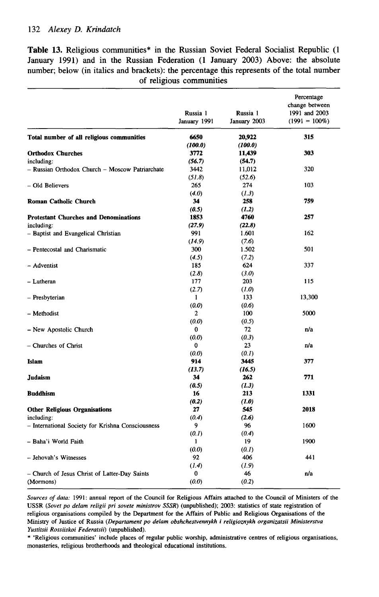## *132 Alexey* D. *Krindatch*

**Table** 13. Religious communities\* in the Russian Soviet Federal Socialist Republic (1 January 1991) and in the Russian Federation (1 January 2003) Above: the absolute number; below (in italics and brackets): the percentage this represents of the total number of religious communities

|                                                   | Russia 1<br>January 1991 | Russia 1<br>January 2003 | Percentage<br>change between<br>1991 and 2003<br>$(1991 = 100\%)$ |
|---------------------------------------------------|--------------------------|--------------------------|-------------------------------------------------------------------|
| Total number of all religious communities         | 6650                     | 20,922                   | 315                                                               |
|                                                   | (100.0)                  | (100.0)                  |                                                                   |
| <b>Orthodox Churches</b>                          | 3772                     | 11,439                   | 303                                                               |
| including:                                        | (56.7)                   | (54.7)                   |                                                                   |
| - Russian Orthodox Church - Moscow Patriarchate   | 3442                     | 11,012                   | 320                                                               |
|                                                   | (51.8)                   | (52.6)                   |                                                                   |
| - Old Believers                                   | 265                      | 274                      | 103                                                               |
|                                                   | (4.0)                    | (1.3)                    |                                                                   |
| <b>Roman Catholic Church</b>                      | 34                       | 258                      | 759                                                               |
|                                                   | (0.5)                    | (1.2)                    |                                                                   |
| <b>Protestant Churches and Denominations</b>      | 1853                     | 4760                     | 257                                                               |
| including:                                        | (27.9)                   | (22.8)                   |                                                                   |
| - Baptist and Evangelical Christian               | 991                      | 1.601                    | 162                                                               |
|                                                   | (14.9)                   | (7.6)                    |                                                                   |
| - Pentecostal and Charismatic                     | 300                      | 1.502                    | 501                                                               |
|                                                   | (4.5)                    | (7.2)                    |                                                                   |
| - Adventist                                       | 185                      | 624                      | 337                                                               |
|                                                   | (2.8)                    | (3.0)                    |                                                                   |
| - Lutheran                                        | 177                      | 203                      | 115                                                               |
|                                                   | (2.7)                    | (I.0)                    |                                                                   |
| - Presbyterian                                    | $\mathbf{1}$             | 133                      | 13,300                                                            |
|                                                   | (0.0)                    | (0.6)                    |                                                                   |
| - Methodist                                       | $\overline{2}$           | 100                      | 5000                                                              |
|                                                   | (0.0)                    | (0.5)                    |                                                                   |
|                                                   | 0                        | 72                       | n/a                                                               |
| - New Apostolic Church                            |                          | (0.3)                    |                                                                   |
|                                                   | (0.0)                    |                          |                                                                   |
| - Churches of Christ                              | 0                        | 23                       | n/a                                                               |
|                                                   | (0.0)                    | (0.1)                    |                                                                   |
| Islam                                             | 914                      | 3445                     | 377                                                               |
|                                                   | (13.7)                   | (16.5)                   |                                                                   |
| <b>Judaism</b>                                    | 34                       | 262                      | 771                                                               |
|                                                   | (0.5)                    | (1.3)                    |                                                                   |
| <b>Buddhism</b>                                   | 16                       | 213                      | 1331                                                              |
|                                                   | (0.2)                    | (1.0)                    |                                                                   |
| <b>Other Religious Organisations</b>              | 27                       | 545                      | 2018                                                              |
| including:                                        | (0.4)                    | (2.6)                    |                                                                   |
| - International Society for Krishna Consciousness | 9                        | 96                       | 1600                                                              |
|                                                   | (0.1)                    | (0.4)                    |                                                                   |
| - Baha'i World Faith                              | 1                        | 19                       | 1900                                                              |
|                                                   | (0.0)                    | (0.1)                    |                                                                   |
| - Jehovah's Witnesses                             | 92                       | 406                      | 441                                                               |
|                                                   | (1.4)                    | (1.9)                    |                                                                   |
| - Church of Jesus Christ of Latter-Day Saints     | 0                        | 46                       | n/a                                                               |
| (Mormons)                                         | (0.0)                    | (0.2)                    |                                                                   |
|                                                   |                          |                          |                                                                   |

*Sources of data:* 1991: annual report of the Council for Religious Affairs attached to the Council of Ministers of the USSR *(Sovet po delam religii pri sovete ministrov SSSR)* (unpublished); 2003: statistics of state registration of religious organisations compiled by the Department for the Affairs of Public and Religious Organisations of the Ministry of Justice of Russia *(Departament po delam obshchestvennykh i religioznykh organizatsii Ministerstva Yustitsii Rossiiskoi Federatsii)* (unpublished).

\* 'Religious communities' include places of regular public worship, administrative centres of religious organisations, monasteries, religious brotherhoods and theological educational institutions.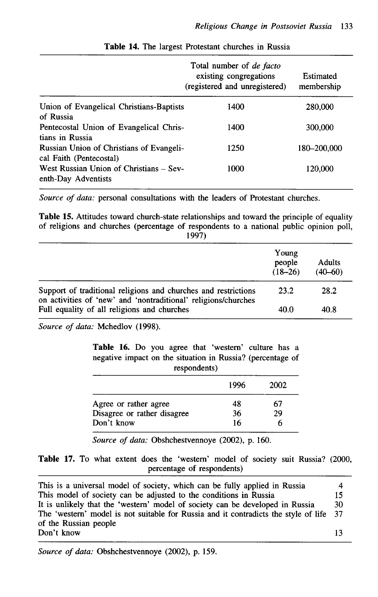|                                                                     | Total number of <i>de facto</i><br>existing congregations<br>(registered and unregistered) | Estimated<br>membership |
|---------------------------------------------------------------------|--------------------------------------------------------------------------------------------|-------------------------|
| Union of Evangelical Christians-Baptists<br>of Russia               | 1400                                                                                       | 280,000                 |
| Pentecostal Union of Evangelical Chris-<br>tians in Russia          | 1400                                                                                       | 300,000                 |
| Russian Union of Christians of Evangeli-<br>cal Faith (Pentecostal) | 1250                                                                                       | 180-200,000             |
| West Russian Union of Christians – Sev-<br>enth-Day Adventists      | 1000                                                                                       | 120,000                 |

## **Table 14.** The largest Protestant churches in Russia

*Source of data:* personal consultations with the leaders of Protestant churches.

**Table 15.** Attitudes toward church-state relationships and toward the principle of equality of religions and churches (percentage of respondents to a national public opinion poll, 1997)

|                                                                                                                                  | Young<br>people<br>$(18-26)$ | <b>Adults</b><br>$(40 - 60)$ |
|----------------------------------------------------------------------------------------------------------------------------------|------------------------------|------------------------------|
| Support of traditional religions and churches and restrictions<br>on activities of 'new' and 'nontraditional' religions/churches | 23.2                         | 28.2                         |
| Full equality of all religions and churches                                                                                      | 40.0                         | 40.8                         |

*Source of data:* Mchedlov (1998).

**Table 16.** Do you agree that 'western' culture has a negative impact on the situation in Russia? (percentage of respondents)

|                             | 1996 | 2002 |
|-----------------------------|------|------|
| Agree or rather agree       | 48   | 67   |
| Disagree or rather disagree | 36   | 29   |
| Don't know                  | 16   |      |

*Source of data:* Obshchestvennoye (2002), p. 160.

**Table 17.** To what extent does the 'western' model of society suit Russia? (2000, percentage of respondents)

| This is a universal model of society, which can be fully applied in Russia          | $\boldsymbol{\Lambda}$ |
|-------------------------------------------------------------------------------------|------------------------|
| This model of society can be adjusted to the conditions in Russia                   | 15                     |
| It is unlikely that the 'western' model of society can be developed in Russia       | 30                     |
| The 'western' model is not suitable for Russia and it contradicts the style of life | - 37                   |
| of the Russian people                                                               |                        |
| Don't know                                                                          | 13                     |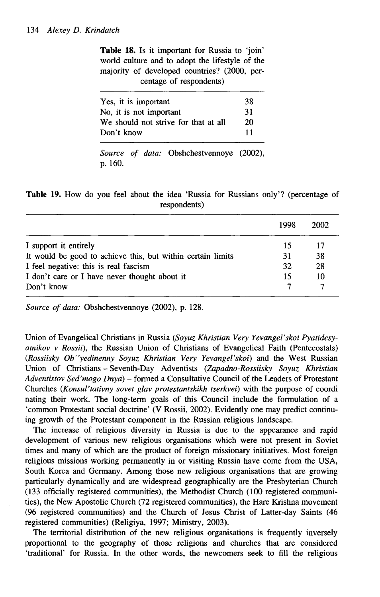**Table 18.** Is it important for Russia to 'join' world culture and to adopt the lifestyle of the majority of developed countries? (2000, percentage of respondents)

| Yes, it is important                 | 38 |
|--------------------------------------|----|
| No, it is not important              | 31 |
| We should not strive for that at all | 20 |
| Don't know                           | 11 |

*Source of data:* Obshchestvennoye (2002), p.160.

**Table 19.** How do you feel about the idea 'Russia for Russians only'? (percentage of respondents)

|                                                             | 1998 | 2002 |
|-------------------------------------------------------------|------|------|
| I support it entirely                                       | 15   | 17   |
| It would be good to achieve this, but within certain limits | 31   | 38   |
| I feel negative: this is real fascism                       | 32   | 28   |
| I don't care or I have never thought about it               | 15   | 10   |
| Don't know                                                  |      |      |

*Source of data:* Obshchestvennoye (2002), p. 128.

Union of Evangelical Christians in Russia *(Soyuz Khristian Very Yevangel'skoi Pyatidesyatnikov v Rossii),* the Russian Union of Christians of Evangelical Faith (Pentecostals) *(Rossiisky Ob"yedinenny Soyuz Khristian Very Yevangel'skoi)* and the West Russian Union of Christians - Seventh-Day Adventists *(Zapadno-Rossiisky Soyuz Khristian Adventistov Sed'mogo Dnya)* - formed a Consultative Council of the Leaders of Protestant Churches *(Konsul'tativny sovet glav protestantskikh tserkvei)* with the purpose of coordi nating their work. The long-term goals of this Council include the formulation of a 'common Protestant social doctrine' (V Rossii, 2002). Evidently one may predict continuing growth of the Protestant component in the Russian religious landscape.

The increase of religious diversity in Russia is due to the appearance and rapid development of various new religious organisations which were not present in Soviet times and many of which are the product of foreign missionary initiatives. Most foreign religious missions working permanently in or visiting Russia have come from the USA, South Korea and Germany. Among those new religious organisations that are growing particularly dynamically and are widespread geographically are the Presbyterian Church (133 officially registered communities), the Methodist Church (100 registered communities), the New Apostolic Church (72 registered communities), the Hare Krishna movement (96 registered communities) and the Church of Jesus Christ of Latter-day Saints (46 registered communities) (Religiya, 1997; Ministry, 2003).

The territorial distribution of the new religious organisations is frequently inversely proportional to the geography of those religions and churches that are considered 'traditional' for Russia. In the other words, the newcomers seek to fill the religious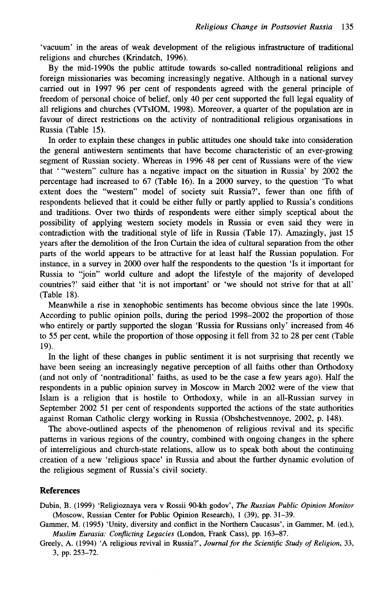'vacuum' in the areas of weak development of the religious infrastructure of traditional religions and churches (Krindatch, 1996).

By the mid-1990s the public attitude towards so-called nontraditional religions and foreign missionaries was becoming increasingly negative. Although in a national survey carried out in 1997 96 per cent of respondents agreed with the general principle of freedom of personal choice of belief, only 40 per cent supported the full legal equality of all religions and churches (VTsIOM, 1998). Moreover, a quarter of the population are in favour of direct restrictions on the activity of nontraditional religious organisations in Russia (Table 15).

In order to explain these changes in public attitudes one should take into consideration the general antiwestern sentiments that have become characteristic of an ever-growing segment of Russian society. Whereas in 1996 48 per cent of Russians were of the view that '''western'' culture has a negative impact on the situation in Russia' by 2002 the percentage had increased to 67 (Table 16). In a 2000 survey, to the question 'To what extent does the "western" model of society suit Russia?', fewer than one fifth of respondents believed that it could be either fully or partly applied to Russia's conditions and traditions. Over two thirds of respondents were either simply sceptical about the possibility of applying western society models in Russia or even said they were in contradiction with the traditional style of life in Russia (Table 17). Amazingly, just 15 years after the demolition of the Iron Curtain the idea of cultural separation from the other parts of the world appears to be attractive for at least half the Russian population. For instance, in a survey in 2000 over half the respondents to the question 'Is it important for Russia to "join" world culture and adopt the lifestyle of the majority of developed countries?' said either that 'it is not important' or 'we should not strive for that at all' (Table 18).

Meanwhile a rise in xenophobic sentiments has become obvious since the late 1990s. According to public opinion polls, during the period 1998-2002 the proportion of those who entirely or partly supported the slogan 'Russia for Russians only' increased from 46 to 55 per cent, while the proportion of those opposing it fell from 32 to 28 per cent (Table 19).

In the light of these changes in public sentiment it is not surprising that recently we have been seeing an increasingly negative perception of all faiths other than Orthodoxy (and not only of 'nontraditional' faiths, as used to be the case a few years ago). Half the respondents in a public opinion survey in Moscow in March 2002 were of the view that Islam is a religion that is hostile to Orthodoxy, while in an all-Russian survey in September 2002 51 per cent of respondents supported the actions of the state authorities against Roman Catholic clergy working in Russia (Obshchestvennoye, 2002, p. 148).

The above-outlined aspects of the phenomenon of religious revival and its specific patterns in various regions of the country, combined with ongoing changes in the sphere of interreligious and church-state relations, allow us to speak both about the continuing creation of a new 'religious space' in Russia and about the further dynamic evolution of the religious segment of Russia's civil society.

# **References**

Dubin, B. (1999) 'Religioznaya vera v Rossii 90-kh godov', *The Russian Public Opinion Monitor*  (Moscow, Russian Center for Public Opinion Research), 1 (39), pp. 31-39.

Gammer, M. (1995) 'Unity, diversity and conflict in the Northern Caucasus', in Gammer, M. (ed.), *Muslim Eurasia: Conflicting Legacies* (London, Frank Cass), pp. 163-87.

Greely, A. (1994) 'A religious revival in Russia?', *Journal for the Scientific Study of Religion, 33,*  3, pp. 253-72.